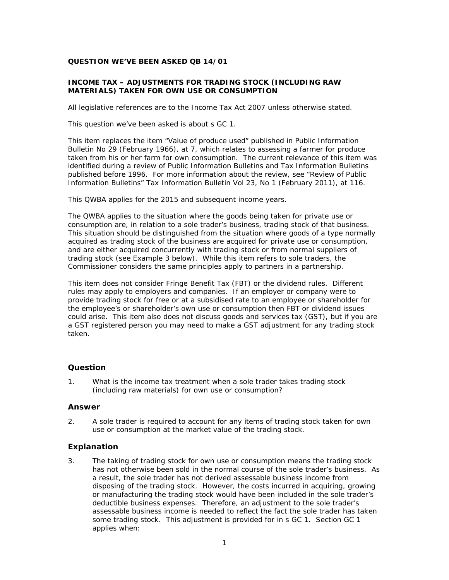## **QUESTION WE'VE BEEN ASKED QB 14/01**

# **INCOME TAX – ADJUSTMENTS FOR TRADING STOCK (INCLUDING RAW MATERIALS) TAKEN FOR OWN USE OR CONSUMPTION**

All legislative references are to the Income Tax Act 2007 unless otherwise stated.

This question we've been asked is about s GC 1.

This item replaces the item "Value of produce used" published in *Public Information Bulletin* No 29 (February 1966), at 7, which relates to assessing a farmer for produce taken from his or her farm for own consumption. The current relevance of this item was identified during a review of *Public Information Bulletins* and *Tax Information Bulletins* published before 1996. For more information about the review, see "Review of Public Information Bulletins" *Tax Information Bulletin* Vol 23, No 1 (February 2011), at 116.

This QWBA applies for the 2015 and subsequent income years.

The QWBA applies to the situation where the goods being taken for private use or consumption are, in relation to a sole trader's business, trading stock of that business. This situation should be distinguished from the situation where goods of a type normally acquired as trading stock of the business are acquired for private use or consumption, and are either acquired concurrently with trading stock or from normal suppliers of trading stock (see Example 3 below). While this item refers to sole traders, the Commissioner considers the same principles apply to partners in a partnership.

This item does not consider Fringe Benefit Tax (FBT) or the dividend rules. Different rules may apply to employers and companies. If an employer or company were to provide trading stock for free or at a subsidised rate to an employee or shareholder for the employee's or shareholder's own use or consumption then FBT or dividend issues could arise. This item also does not discuss goods and services tax (GST), but if you are a GST registered person you may need to make a GST adjustment for any trading stock taken.

# **Question**

1. What is the income tax treatment when a sole trader takes trading stock (including raw materials) for own use or consumption?

## **Answer**

2. A sole trader is required to account for any items of trading stock taken for own use or consumption at the market value of the trading stock.

# **Explanation**

3. The taking of trading stock for own use or consumption means the trading stock has not otherwise been sold in the normal course of the sole trader's business. As a result, the sole trader has not derived assessable business income from disposing of the trading stock. However, the costs incurred in acquiring, growing or manufacturing the trading stock would have been included in the sole trader's deductible business expenses. Therefore, an adjustment to the sole trader's assessable business income is needed to reflect the fact the sole trader has taken some trading stock. This adjustment is provided for in s GC 1. Section GC 1 applies when: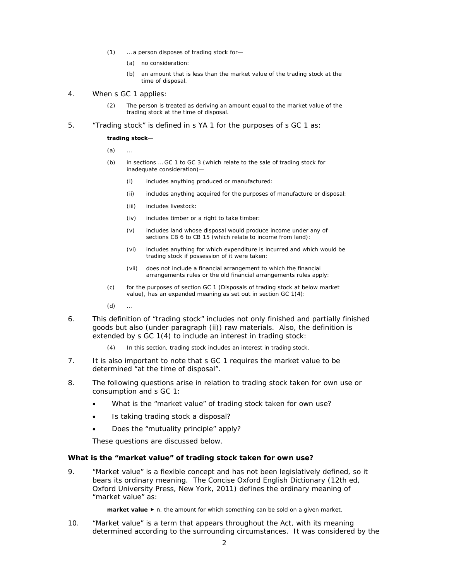- (1) … a person disposes of trading stock for—
	- (a) no consideration:
	- (b) an amount that is less than the market value of the trading stock at the time of disposal.
- 4. When s GC 1 applies:
	- (2) The person is treated as deriving an amount equal to the market value of the trading stock at the time of disposal.
- 5. "Trading stock" is defined in s YA 1 for the purposes of s GC 1 as:

#### **trading stock**—

- $(a)$
- (b) in sections … GC 1 to GC 3 (which relate to the sale of trading stock for inadequate consideration)—
	- (i) includes anything produced or manufactured:
	- (ii) includes anything acquired for the purposes of manufacture or disposal:
	- (iii) includes livestock:
	- (iv) includes timber or a right to take timber:
	- (v) includes land whose disposal would produce income under any of sections CB 6 to CB 15 (which relate to income from land):
	- (vi) includes anything for which expenditure is incurred and which would be trading stock if possession of it were taken:
	- (vii) does not include a financial arrangement to which the financial arrangements rules or the old financial arrangements rules apply:
- (c) for the purposes of section GC 1 (Disposals of trading stock at below market value), has an expanded meaning as set out in section GC 1(4):
- $(d)$
- 6. This definition of "trading stock" includes not only finished and partially finished goods but also (under paragraph (ii)) raw materials. Also, the definition is extended by s GC 1(4) to include an interest in trading stock:
	- In this section, trading stock includes an interest in trading stock.
- 7. It is also important to note that s GC 1 requires the market value to be determined "at the time of disposal".
- 8. The following questions arise in relation to trading stock taken for own use or consumption and s GC 1:
	- What is the "market value" of trading stock taken for own use?
	- Is taking trading stock a disposal?
	- Does the "mutuality principle" apply?

These questions are discussed below.

### **What is the "market value" of trading stock taken for own use?**

9. "Market value" is a flexible concept and has not been legislatively defined, so it bears its ordinary meaning. The *Concise Oxford English Dictionary* (12th ed, Oxford University Press, New York, 2011) defines the ordinary meaning of "market value" as:

**market value ▶** n. the amount for which something can be sold on a given market.

10. "Market value" is a term that appears throughout the Act, with its meaning determined according to the surrounding circumstances. It was considered by the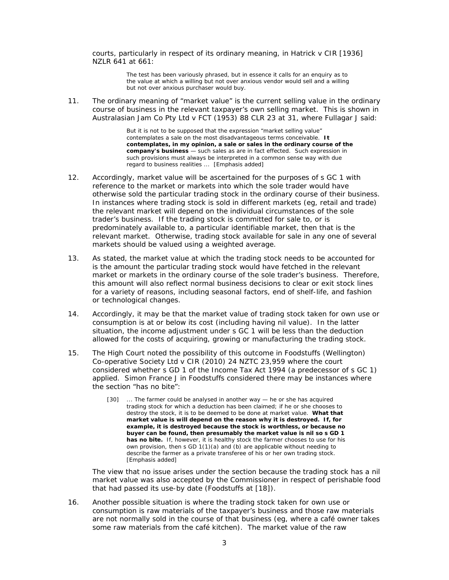courts, particularly in respect of its ordinary meaning, in *Hatrick v CIR* [1936] NZLR 641 at 661:

> The test has been variously phrased, but in essence it calls for an enquiry as to the value at which a willing but not over anxious vendor would sell and a willing but not over anxious purchaser would buy.

11. The ordinary meaning of "market value" is the current selling value in the ordinary course of business in the relevant taxpayer's own selling market. This is shown in *Australasian Jam Co Pty Ltd v FCT* (1953) 88 CLR 23 at 31, where Fullagar J said:

> But it is not to be supposed that the expression "market selling value" contemplates a sale on the most disadvantageous terms conceivable. **It contemplates, in my opinion, a sale or sales in the ordinary course of the company's business** — such sales as are in fact effected. Such expression in such provisions must always be interpreted in a common sense way with due regard to business realities ... [Emphasis added]

- 12. Accordingly, market value will be ascertained for the purposes of s GC 1 with reference to the market or markets into which the sole trader would have otherwise sold the particular trading stock in the ordinary course of their business. In instances where trading stock is sold in different markets (eg, retail and trade) the relevant market will depend on the individual circumstances of the sole trader's business. If the trading stock is committed for sale to, or is predominately available to, a particular identifiable market, then that is the relevant market. Otherwise, trading stock available for sale in any one of several markets should be valued using a weighted average.
- 13. As stated, the market value at which the trading stock needs to be accounted for is the amount the particular trading stock would have fetched in the relevant market or markets in the ordinary course of the sole trader's business. Therefore, this amount will also reflect normal business decisions to clear or exit stock lines for a variety of reasons, including seasonal factors, end of shelf-life, and fashion or technological changes.
- 14. Accordingly, it may be that the market value of trading stock taken for own use or consumption is at or below its cost (including having nil value). In the latter situation, the income adjustment under s GC 1 will be less than the deduction allowed for the costs of acquiring, growing or manufacturing the trading stock.
- 15. The High Court noted the possibility of this outcome in *Foodstuff*s *(Wellington) Co-operative Society Ltd v CIR* (2010) 24 NZTC 23,959 where the court considered whether s GD 1 of the Income Tax Act 1994 (a predecessor of s GC 1) applied. Simon France J in *Foodstuffs* considered there may be instances where the section "has no bite":
	- [30] ... The farmer could be analysed in another way he or she has acquired trading stock for which a deduction has been claimed; if he or she chooses to destroy the stock, it is to be deemed to be done at market value. **What that market value is will depend on the reason why it is destroyed. If, for example, it is destroyed because the stock is worthless, or because no buyer can be found, then presumably the market value is nil so s GD 1 has no bite.** If, however, it is healthy stock the farmer chooses to use for his own provision, then s GD 1(1)(a) and (b) are applicable without needing to describe the farmer as a private transferee of his or her own trading stock. [Emphasis added]

The view that no issue arises under the section because the trading stock has a nil market value was also accepted by the Commissioner in respect of perishable food that had passed its use-by date (*Foodstuffs* at [18]).

16. Another possible situation is where the trading stock taken for own use or consumption is raw materials of the taxpayer's business and those raw materials are not normally sold in the course of that business (eg, where a café owner takes some raw materials from the café kitchen). The market value of the raw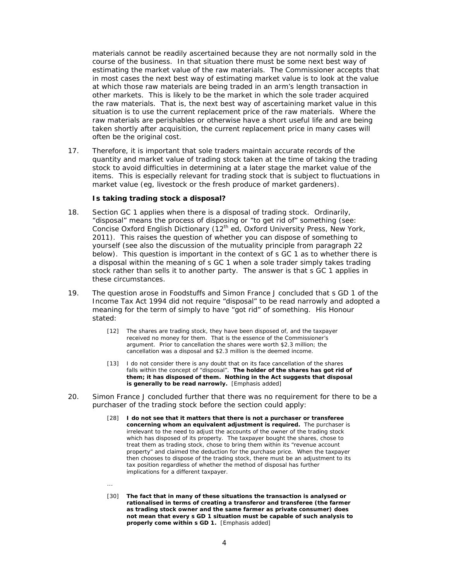materials cannot be readily ascertained because they are not normally sold in the course of the business. In that situation there must be some next best way of estimating the market value of the raw materials. The Commissioner accepts that in most cases the next best way of estimating market value is to look at the value at which those raw materials are being traded in an arm's length transaction in other markets. This is likely to be the market in which the sole trader acquired the raw materials. That is, the next best way of ascertaining market value in this situation is to use the current replacement price of the raw materials. Where the raw materials are perishables or otherwise have a short useful life and are being taken shortly after acquisition, the current replacement price in many cases will often be the original cost.

17. Therefore, it is important that sole traders maintain accurate records of the quantity and market value of trading stock taken at the time of taking the trading stock to avoid difficulties in determining at a later stage the market value of the items. This is especially relevant for trading stock that is subject to fluctuations in market value (eg, livestock or the fresh produce of market gardeners).

### *Is taking trading stock a disposal?*

- 18. Section GC 1 applies when there is a disposal of trading stock. Ordinarily, "disposal" means the process of disposing or "to get rid of" something (see: *Concise Oxford English Dictionary* (12<sup>th</sup> ed, Oxford University Press, New York, 2011). This raises the question of whether you can dispose of something to yourself (see also the discussion of the mutuality principle from paragraph 22 below). This question is important in the context of s GC 1 as to whether there is a disposal within the meaning of s GC 1 when a sole trader simply takes trading stock rather than sells it to another party. The answer is that s GC 1 applies in these circumstances.
- 19. The question arose in *Foodstuffs* and Simon France J concluded that s GD 1 of the Income Tax Act 1994 did not require "disposal" to be read narrowly and adopted a meaning for the term of simply to have "got rid" of something. His Honour stated:
	- [12] The shares are trading stock, they have been disposed of, and the taxpayer received no money for them. That is the essence of the Commissioner's argument. Prior to cancellation the shares were worth \$2.3 million; the cancellation was a disposal and \$2.3 million is the deemed income.
	- [13] I do not consider there is any doubt that on its face cancellation of the shares falls within the concept of "disposal". **The holder of the shares has got rid of them; it has disposed of them. Nothing in the Act suggests that disposal is generally to be read narrowly.** [Emphasis added]
- 20. Simon France J concluded further that there was no requirement for there to be a purchaser of the trading stock before the section could apply:
	- [28] **I do not see that it matters that there is not a purchaser or transferee concerning whom an equivalent adjustment is required.** The purchaser is irrelevant to the need to adjust the accounts of the owner of the trading stock which has disposed of its property. The taxpayer bought the shares, chose to treat them as trading stock, chose to bring them within its "revenue account property" and claimed the deduction for the purchase price. When the taxpayer then chooses to dispose of the trading stock, there must be an adjustment to its tax position regardless of whether the method of disposal has further implications for a different taxpayer.
	- ...
	- [30] **The fact that in many of these situations the transaction is analysed or rationalised in terms of creating a transferor and transferee (the farmer as trading stock owner and the same farmer as private consumer) does not mean that every s GD 1 situation must be capable of such analysis to properly come within s GD 1.** [Emphasis added]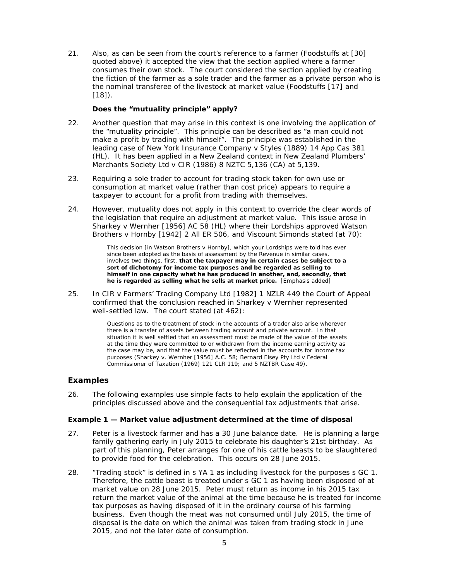21. Also, as can be seen from the court's reference to a farmer (*Foodstuffs* at [30] quoted above) it accepted the view that the section applied where a farmer consumes their own stock. The court considered the section applied by creating the fiction of the farmer as a sole trader and the farmer as a private person who is the nominal transferee of the livestock at market value (*Foodstuffs* [17] and [18]).

# *Does the "mutuality principle" apply?*

- 22. Another question that may arise in this context is one involving the application of the "mutuality principle". This principle can be described as "a man could not make a profit by trading with himself". The principle was established in the leading case of *New York Insurance Company v Styles* (1889) 14 App Cas 381 (HL). It has been applied in a New Zealand context in *New Zealand Plumbers' Merchants Society Ltd v CIR* (1986) 8 NZTC 5,136 (CA) at 5,139.
- 23. Requiring a sole trader to account for trading stock taken for own use or consumption at market value (rather than cost price) appears to require a taxpayer to account for a profit from trading with themselves.
- 24. However, mutuality does not apply in this context to override the clear words of the legislation that require an adjustment at market value. This issue arose in *Sharkey v Wernher* [1956] AC 58 (HL) where their Lordships approved *Watson Brothers v Hornby* [1942] 2 All ER 506, and Viscount Simonds stated (at 70):

This decision [in *Watson Brothers v Hornby*], which your Lordships were told has ever since been adopted as the basis of assessment by the Revenue in similar cases, involves two things, first, **that the taxpayer may in certain cases be subject to a sort of dichotomy for income tax purposes and be regarded as selling to himself in one capacity what he has produced in another, and, secondly, that he is regarded as selling what he sells at market price.** [Emphasis added]

25. In *CIR v Farmers' Trading Company Ltd* [1982] 1 NZLR 449 the Court of Appeal confirmed that the conclusion reached in *Sharkey v Wernher* represented well-settled law. The court stated (at 462):

> Questions as to the treatment of stock in the accounts of a trader also arise wherever there is a transfer of assets between trading account and private account. In that situation it is well settled that an assessment must be made of the value of the assets at the time they were committed to or withdrawn from the income earning activity as the case may be, and that the value must be reflected in the accounts for income tax purposes (*Sharkey v. Wernher* [1956] A.C. 58; *Bernard Elsey Pty Ltd v Federal Commissioner of Taxation* (1969) 121 CLR 119; and 5 NZTBR *Case 49*).

# **Examples**

26. The following examples use simple facts to help explain the application of the principles discussed above and the consequential tax adjustments that arise.

## **Example 1 — Market value adjustment determined at the time of disposal**

- 27. Peter is a livestock farmer and has a 30 June balance date. He is planning a large family gathering early in July 2015 to celebrate his daughter's 21st birthday. As part of this planning, Peter arranges for one of his cattle beasts to be slaughtered to provide food for the celebration. This occurs on 28 June 2015.
- 28. "Trading stock" is defined in s YA 1 as including livestock for the purposes s GC 1. Therefore, the cattle beast is treated under s GC 1 as having been disposed of at market value on 28 June 2015. Peter must return as income in his 2015 tax return the market value of the animal at the time because he is treated for income tax purposes as having disposed of it in the ordinary course of his farming business. Even though the meat was not consumed until July 2015, the time of disposal is the date on which the animal was taken from trading stock in June 2015, and not the later date of consumption.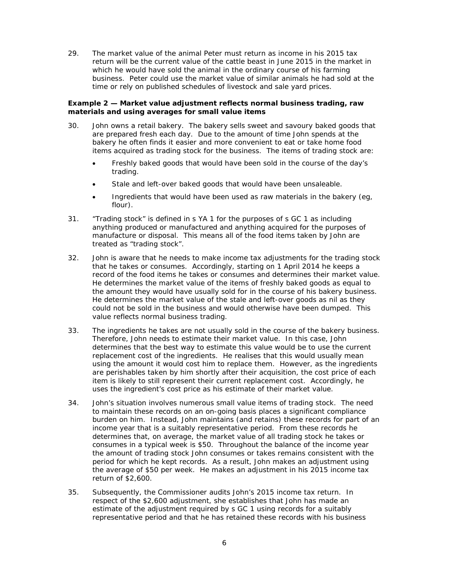29. The market value of the animal Peter must return as income in his 2015 tax return will be the current value of the cattle beast in June 2015 in the market in which he would have sold the animal in the ordinary course of his farming business. Peter could use the market value of similar animals he had sold at the time or rely on published schedules of livestock and sale yard prices.

## **Example 2 — Market value adjustment reflects normal business trading, raw materials and using averages for small value items**

- 30. John owns a retail bakery. The bakery sells sweet and savoury baked goods that are prepared fresh each day. Due to the amount of time John spends at the bakery he often finds it easier and more convenient to eat or take home food items acquired as trading stock for the business. The items of trading stock are:
	- Freshly baked goods that would have been sold in the course of the day's trading.
	- Stale and left-over baked goods that would have been unsaleable.
	- Ingredients that would have been used as raw materials in the bakery (eg, flour).
- 31. "Trading stock" is defined in s YA 1 for the purposes of s GC 1 as including anything produced or manufactured and anything acquired for the purposes of manufacture or disposal. This means all of the food items taken by John are treated as "trading stock".
- 32. John is aware that he needs to make income tax adjustments for the trading stock that he takes or consumes. Accordingly, starting on 1 April 2014 he keeps a record of the food items he takes or consumes and determines their market value. He determines the market value of the items of freshly baked goods as equal to the amount they would have usually sold for in the course of his bakery business. He determines the market value of the stale and left-over goods as nil as they could not be sold in the business and would otherwise have been dumped. This value reflects normal business trading.
- 33. The ingredients he takes are not usually sold in the course of the bakery business. Therefore, John needs to estimate their market value. In this case, John determines that the best way to estimate this value would be to use the current replacement cost of the ingredients. He realises that this would usually mean using the amount it would cost him to replace them. However, as the ingredients are perishables taken by him shortly after their acquisition, the cost price of each item is likely to still represent their current replacement cost. Accordingly, he uses the ingredient's cost price as his estimate of their market value.
- 34. John's situation involves numerous small value items of trading stock. The need to maintain these records on an on-going basis places a significant compliance burden on him. Instead, John maintains (and retains) these records for part of an income year that is a suitably representative period. From these records he determines that, on average, the market value of all trading stock he takes or consumes in a typical week is \$50. Throughout the balance of the income year the amount of trading stock John consumes or takes remains consistent with the period for which he kept records. As a result, John makes an adjustment using the average of \$50 per week. He makes an adjustment in his 2015 income tax return of \$2,600.
- 35. Subsequently, the Commissioner audits John's 2015 income tax return. In respect of the \$2,600 adjustment, she establishes that John has made an estimate of the adjustment required by s GC 1 using records for a suitably representative period and that he has retained these records with his business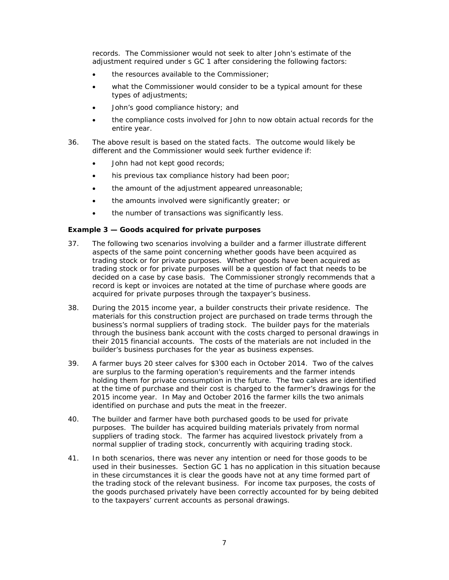records. The Commissioner would not seek to alter John's estimate of the adjustment required under s GC 1 after considering the following factors:

- the resources available to the Commissioner;
- what the Commissioner would consider to be a typical amount for these types of adjustments;
- John's good compliance history; and
- the compliance costs involved for John to now obtain actual records for the entire year.
- 36. The above result is based on the stated facts. The outcome would likely be different and the Commissioner would seek further evidence if:
	- John had not kept good records;
	- his previous tax compliance history had been poor;
	- the amount of the adjustment appeared unreasonable;
	- the amounts involved were significantly greater; or
	- the number of transactions was significantly less.

## **Example 3 — Goods acquired for private purposes**

- 37. The following two scenarios involving a builder and a farmer illustrate different aspects of the same point concerning whether goods have been acquired as trading stock or for private purposes. Whether goods have been acquired as trading stock or for private purposes will be a question of fact that needs to be decided on a case by case basis. The Commissioner strongly recommends that a record is kept or invoices are notated at the time of purchase where goods are acquired for private purposes through the taxpayer's business.
- 38. During the 2015 income year, a builder constructs their private residence. The materials for this construction project are purchased on trade terms through the business's normal suppliers of trading stock. The builder pays for the materials through the business bank account with the costs charged to personal drawings in their 2015 financial accounts. The costs of the materials are not included in the builder's business purchases for the year as business expenses.
- 39. A farmer buys 20 steer calves for \$300 each in October 2014. Two of the calves are surplus to the farming operation's requirements and the farmer intends holding them for private consumption in the future. The two calves are identified at the time of purchase and their cost is charged to the farmer's drawings for the 2015 income year. In May and October 2016 the farmer kills the two animals identified on purchase and puts the meat in the freezer.
- 40. The builder and farmer have both purchased goods to be used for private purposes. The builder has acquired building materials privately from normal suppliers of trading stock. The farmer has acquired livestock privately from a normal supplier of trading stock, concurrently with acquiring trading stock.
- 41. In both scenarios, there was never any intention or need for those goods to be used in their businesses. Section GC 1 has no application in this situation because in these circumstances it is clear the goods have not at any time formed part of the trading stock of the relevant business. For income tax purposes, the costs of the goods purchased privately have been correctly accounted for by being debited to the taxpayers' current accounts as personal drawings.